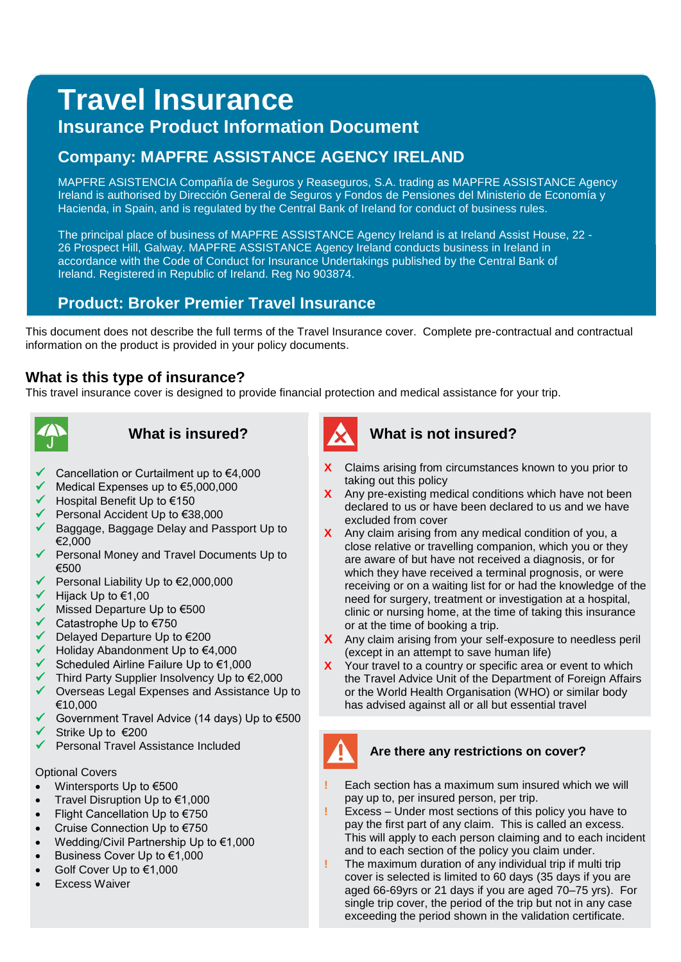# **Travel Insurance Insurance Product Information Document**

# **Company: MAPFRE ASSISTANCE AGENCY IRELAND**

MAPFRE ASISTENCIA Compañía de Seguros y Reaseguros, S.A. trading as MAPFRE ASSISTANCE Agency Ireland is authorised by Dirección General de Seguros y Fondos de Pensiones del Ministerio de Economía y Hacienda, in Spain, and is regulated by the Central Bank of Ireland for conduct of business rules.

The principal place of business of MAPFRE ASSISTANCE Agency Ireland is at Ireland Assist House, 22 - 26 Prospect Hill, Galway. MAPFRE ASSISTANCE Agency Ireland conducts business in Ireland in accordance with the Code of Conduct for Insurance Undertakings published by the Central Bank of Ireland. Registered in Republic of Ireland. Reg No 903874.

# **Product: Broker Premier Travel Insurance**

This document does not describe the full terms of the Travel Insurance cover. Complete pre-contractual and contractual information on the product is provided in your policy documents.

# **What is this type of insurance?**

This travel insurance cover is designed to provide financial protection and medical assistance for your trip.



- Cancellation or Curtailment up to €4,000
- Medical Expenses up to €5,000,000
- Hospital Benefit Up to €150
- Personal Accident Up to €38,000
- Baggage, Baggage Delay and Passport Up to €2,000
- Personal Money and Travel Documents Up to €500
- Personal Liability Up to  $\epsilon$ 2,000,000
- Hijack Up to  $€1,00$
- $\checkmark$  Missed Departure Up to  $\epsilon$ 500
- Catastrophe Up to €750
- $\checkmark$  Delayed Departure Up to  $\epsilon$ 200
- Holiday Abandonment Up to €4,000
- Scheduled Airline Failure Up to €1,000
- Third Party Supplier Insolvency Up to  $\epsilon$ 2,000
- Overseas Legal Expenses and Assistance Up to €10,000
- Government Travel Advice (14 days) Up to €500 Strike Up to €200
- 
- Personal Travel Assistance Included

#### Optional Covers

- Wintersports Up to €500
- Travel Disruption Up to €1,000
- Flight Cancellation Up to €750
- Cruise Connection Up to €750
- Wedding/Civil Partnership Up to €1,000
- Business Cover Up to €1,000
- Golf Cover Up to €1,000
- Excess Waiver



# What is insured? **What is not insured?**

- **X** Claims arising from circumstances known to you prior to taking out this policy
- **X** Any pre-existing medical conditions which have not been declared to us or have been declared to us and we have excluded from cover
- **X** Any claim arising from any medical condition of you, a close relative or travelling companion, which you or they are aware of but have not received a diagnosis, or for which they have received a terminal prognosis, or were receiving or on a waiting list for or had the knowledge of the need for surgery, treatment or investigation at a hospital, clinic or nursing home, at the time of taking this insurance or at the time of booking a trip.
- **X** Any claim arising from your self-exposure to needless peril (except in an attempt to save human life)
- **X** Your travel to a country or specific area or event to which the Travel Advice Unit of the Department of Foreign Affairs or the World Health Organisation (WHO) or similar body has advised against all or all but essential travel



### **Are there any restrictions on cover?**

- **!** Each section has a maximum sum insured which we will pay up to, per insured person, per trip.
- **!** Excess Under most sections of this policy you have to pay the first part of any claim. This is called an excess. This will apply to each person claiming and to each incident and to each section of the policy you claim under.
- **!** The maximum duration of any individual trip if multi trip cover is selected is limited to 60 days (35 days if you are aged 66-69yrs or 21 days if you are aged 70–75 yrs). For single trip cover, the period of the trip but not in any case exceeding the period shown in the validation certificate.